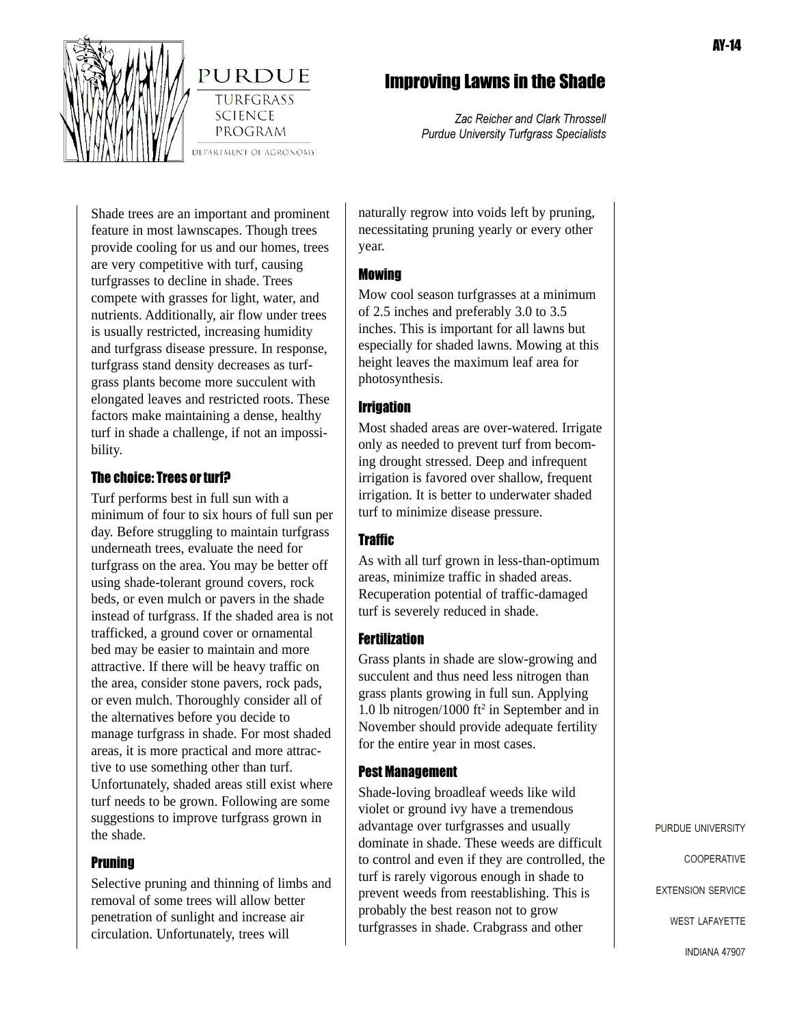

PURDUE **TURFGRASS SCIENCE** 

PROGRAM

# Improving Lawns in the Shade

*Zac Reicher and Clark Throssell Purdue University Turfgrass Specialists*

Shade trees are an important and prominent feature in most lawnscapes. Though trees provide cooling for us and our homes, trees are very competitive with turf, causing turfgrasses to decline in shade. Trees compete with grasses for light, water, and nutrients. Additionally, air flow under trees is usually restricted, increasing humidity and turfgrass disease pressure. In response, turfgrass stand density decreases as turfgrass plants become more succulent with elongated leaves and restricted roots. These factors make maintaining a dense, healthy turf in shade a challenge, if not an impossibility.

# The choice: Trees or turf?

Turf performs best in full sun with a minimum of four to six hours of full sun per day. Before struggling to maintain turfgrass underneath trees, evaluate the need for turfgrass on the area. You may be better off using shade-tolerant ground covers, rock beds, or even mulch or pavers in the shade instead of turfgrass. If the shaded area is not trafficked, a ground cover or ornamental bed may be easier to maintain and more attractive. If there will be heavy traffic on the area, consider stone pavers, rock pads, or even mulch. Thoroughly consider all of the alternatives before you decide to manage turfgrass in shade. For most shaded areas, it is more practical and more attractive to use something other than turf. Unfortunately, shaded areas still exist where turf needs to be grown. Following are some suggestions to improve turfgrass grown in the shade.

#### **Pruning**

Selective pruning and thinning of limbs and removal of some trees will allow better penetration of sunlight and increase air circulation. Unfortunately, trees will

naturally regrow into voids left by pruning, necessitating pruning yearly or every other year.

#### Mowing

Mow cool season turfgrasses at a minimum of 2.5 inches and preferably 3.0 to 3.5 inches. This is important for all lawns but especially for shaded lawns. Mowing at this height leaves the maximum leaf area for photosynthesis.

# **Irrigation**

Most shaded areas are over-watered. Irrigate only as needed to prevent turf from becoming drought stressed. Deep and infrequent irrigation is favored over shallow, frequent irrigation. It is better to underwater shaded turf to minimize disease pressure.

# **Traffic**

As with all turf grown in less-than-optimum areas, minimize traffic in shaded areas. Recuperation potential of traffic-damaged turf is severely reduced in shade.

# **Fertilization**

Grass plants in shade are slow-growing and succulent and thus need less nitrogen than grass plants growing in full sun. Applying 1.0 lb nitrogen/1000 ft<sup>2</sup> in September and in November should provide adequate fertility for the entire year in most cases.

# Pest Management

Shade-loving broadleaf weeds like wild violet or ground ivy have a tremendous advantage over turfgrasses and usually dominate in shade. These weeds are difficult to control and even if they are controlled, the turf is rarely vigorous enough in shade to prevent weeds from reestablishing. This is probably the best reason not to grow turfgrasses in shade. Crabgrass and other

PURDUE UNIVERSITY

COOPERATIVE

EXTENSION SERVICE

WEST LAFAYETTE